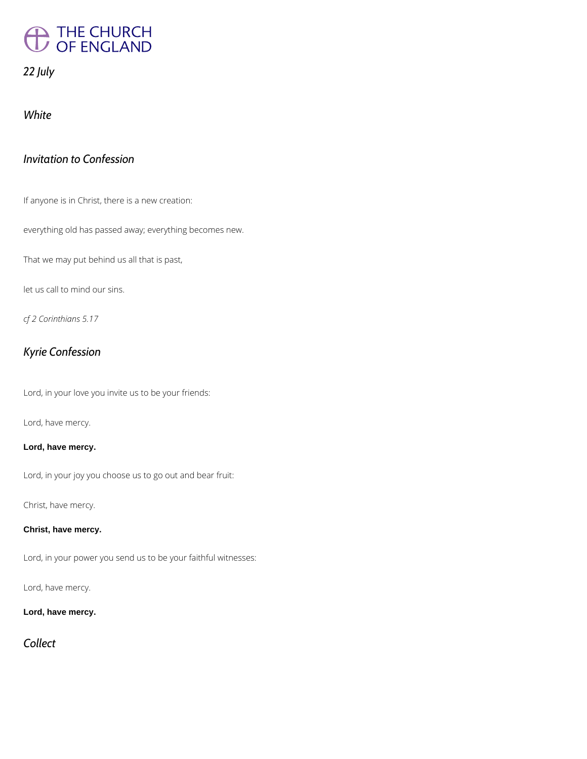# THE CHURCH

## *22 July*

*White*

## *Invitation to Confession*

If anyone is in Christ, there is a new creation:

everything old has passed away; everything becomes new.

That we may put behind us all that is past,

let us call to mind our sins.

*cf 2 Corinthians 5.17*

## *Kyrie Confession*

Lord, in your love you invite us to be your friends:

Lord, have mercy.

#### **Lord, have mercy.**

Lord, in your joy you choose us to go out and bear fruit:

Christ, have mercy.

#### **Christ, have mercy.**

Lord, in your power you send us to be your faithful witnesses:

Lord, have mercy.

**Lord, have mercy.**

*Collect*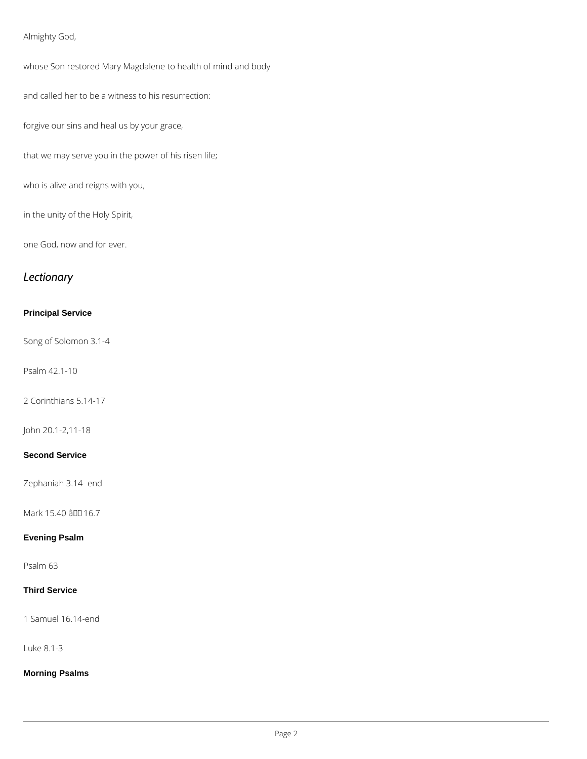### Almighty God,

whose Son restored Mary Magdalene to health of mind and body

and called her to be a witness to his resurrection:

forgive our sins and heal us by your grace,

that we may serve you in the power of his risen life;

who is alive and reigns with you,

in the unity of the Holy Spirit,

one God, now and for ever.

## *Lectionary*

#### **Principal Service**

Song of Solomon 3.1-4

Psalm 42.1-10

2 Corinthians 5.14-17

John 20.1-2,11-18

#### **Second Service**

Zephaniah 3.14- end

Mark 15.40 â 10 16.7

#### **Evening Psalm**

Psalm 63

#### **Third Service**

1 Samuel 16.14-end

Luke 8.1-3

**Morning Psalms**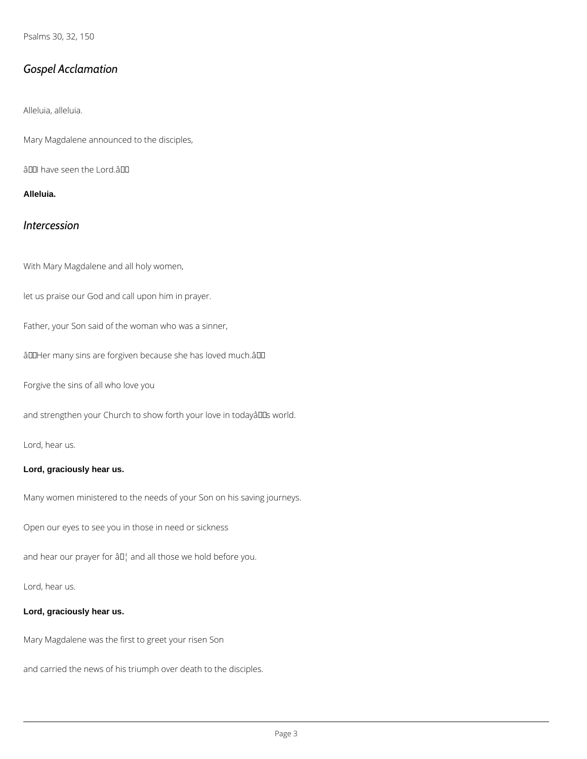Psalms 30, 32, 150

## *Gospel Acclamation*

Alleluia, alleluia.

Mary Magdalene announced to the disciples,

â00 have seen the Lord. a00

**Alleluia.**

## *Intercession*

With Mary Magdalene and all holy women,

let us praise our God and call upon him in prayer.

Father, your Son said of the woman who was a sinner,

âDDHer many sins are forgiven because she has loved much.âDD

Forgive the sins of all who love you

and strengthen your Church to show forth your love in todayâlls world.

Lord, hear us.

#### **Lord, graciously hear us.**

Many women ministered to the needs of your Son on his saving journeys.

Open our eyes to see you in those in need or sickness

and hear our prayer for  $a \Box$  and all those we hold before you.

Lord, hear us.

#### **Lord, graciously hear us.**

Mary Magdalene was the first to greet your risen Son

and carried the news of his triumph over death to the disciples.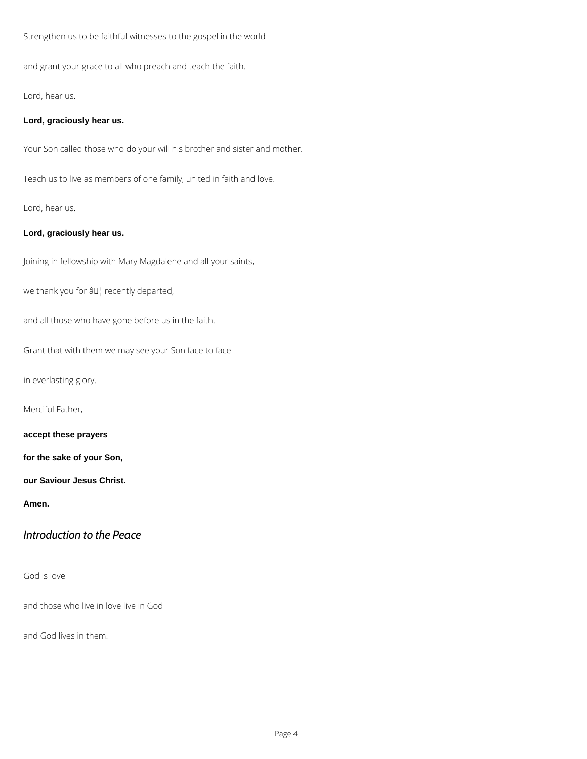Strengthen us to be faithful witnesses to the gospel in the world

and grant your grace to all who preach and teach the faith.

Lord, hear us.

#### **Lord, graciously hear us.**

Your Son called those who do your will his brother and sister and mother.

Teach us to live as members of one family, united in faith and love.

Lord, hear us.

#### **Lord, graciously hear us.**

Joining in fellowship with Mary Magdalene and all your saints,

we thank you for âD<sup>1</sup> recently departed,

and all those who have gone before us in the faith.

Grant that with them we may see your Son face to face

in everlasting glory.

Merciful Father,

**accept these prayers**

**for the sake of your Son,**

**our Saviour Jesus Christ.**

**Amen.**

*Introduction to the Peace*

God is love

and those who live in love live in God

and God lives in them.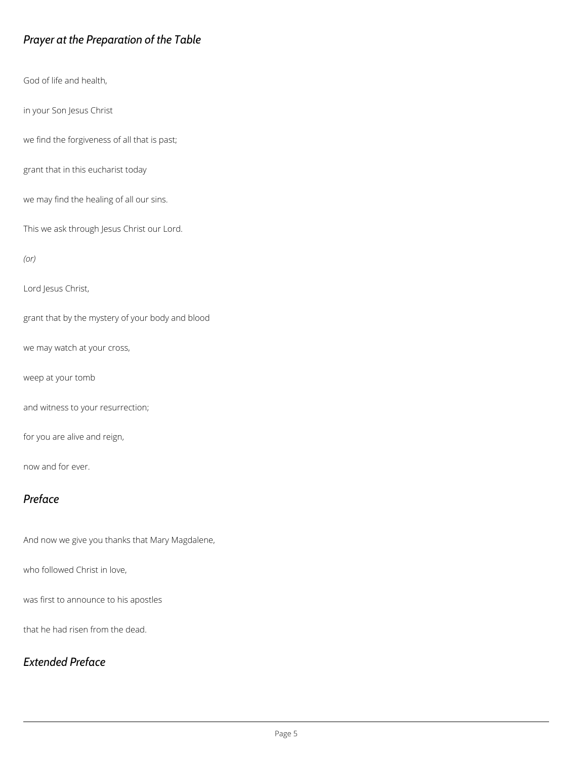## *Prayer at the Preparation of the Table*

God of life and health,

in your Son Jesus Christ

we find the forgiveness of all that is past;

grant that in this eucharist today

we may find the healing of all our sins.

This we ask through Jesus Christ our Lord.

*(or)*

Lord Jesus Christ,

grant that by the mystery of your body and blood

we may watch at your cross,

weep at your tomb

and witness to your resurrection;

for you are alive and reign,

now and for ever.

## *Preface*

And now we give you thanks that Mary Magdalene,

was first to announce to his apostles

that he had risen from the dead.

*Extended Preface*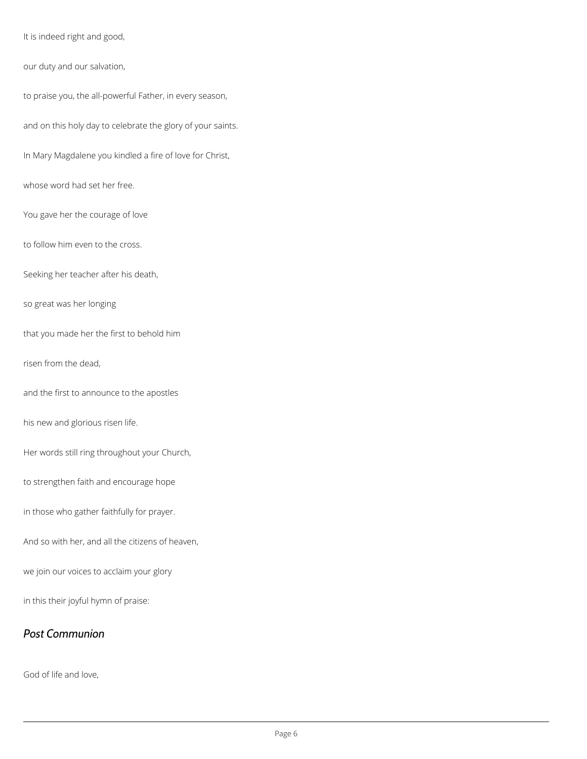It is indeed right and good,

our duty and our salvation,

to praise you, the all-powerful Father, in every season,

and on this holy day to celebrate the glory of your saints.

In Mary Magdalene you kindled a fire of love for Christ,

whose word had set her free.

You gave her the courage of love

to follow him even to the cross.

Seeking her teacher after his death,

so great was her longing

that you made her the first to behold him

risen from the dead,

and the first to announce to the apostles

his new and glorious risen life.

Her words still ring throughout your Church,

to strengthen faith and encourage hope

in those who gather faithfully for prayer.

And so with her, and all the citizens of heaven,

we join our voices to acclaim your glory

in this their joyful hymn of praise:

*Post Communion*

God of life and love,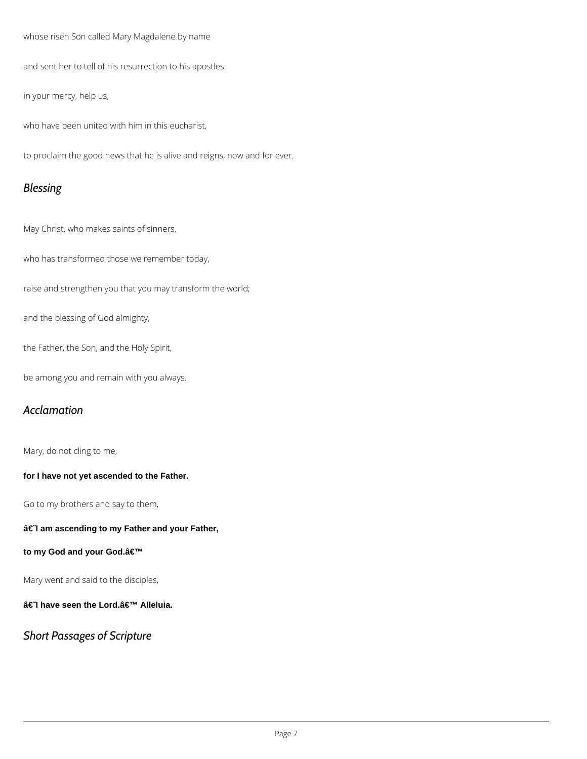whose risen Son called Mary Magdalene by name

and sent her to tell of his resurrection to his apostles:

in your mercy, help us,

who have been united with him in this eucharist,

to proclaim the good news that he is alive and reigns, now and for ever.

## *Blessing*

May Christ, who makes saints of sinners,

who has transformed those we remember today,

raise and strengthen you that you may transform the world;

and the blessing of God almighty,

the Father, the Son, and the Holy Spirit,

be among you and remain with you always.

## *Acclamation*

Mary, do not cling to me,

**for I have not yet ascended to the Father.**

Go to my brothers and say to them,

#### $â€$  am ascending to my Father and your Father,

to my God and your God.a<sup>€™</sup>

Mary went and said to the disciples,

†Thave seen the Lord. a E<sup>™</sup> Alleluia.

*Short Passages of Scripture*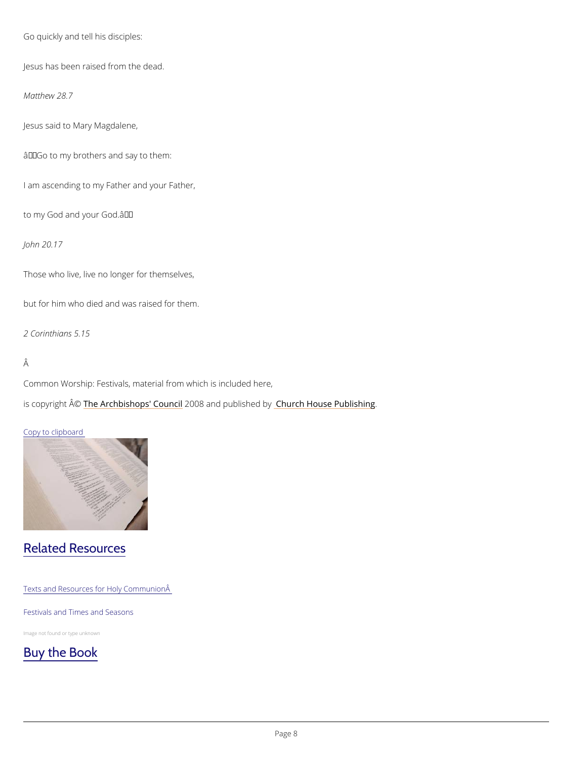```
Go quickly and tell his disciples:
Jesus has been raised from the dead.
Matthew 28.7
Jesus said to Mary Magdalene,
\hat{a} \in \tilde{a} Go to my brothers and say to them:
I am ascending to my Father and your Father,
to my God and your God. '
John 20.17
Those who live, live no longer for themselves,
but for him who died and was raised for them.
2 Corinthians 5.15
Â
Common Worship: Festivals, material from which is included here,
is copyright \hat{\mathbb{A}} @Archbishops' 2000 &Bn and publish held roby House Publishing
```
Copy to clipboard

## Related Resources

Texts and Resources for Holy Communion

#### Festivals and Times and Seasons

Image not found or type unknown